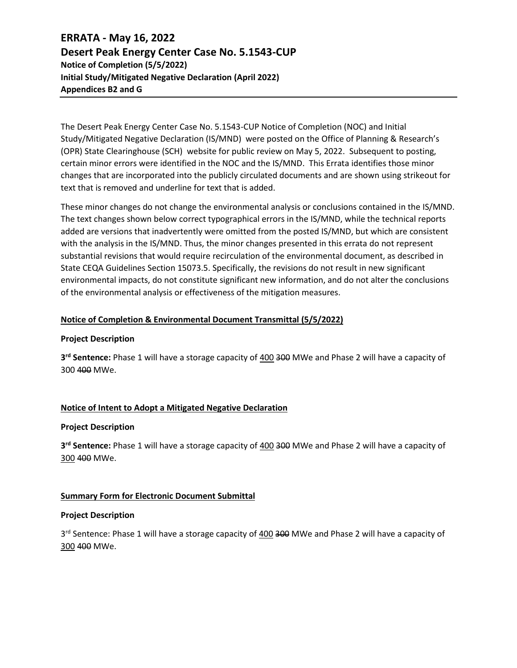## **ERRATA - May 16, 2022 Desert Peak Energy Center Case No. 5.1543-CUP Notice of Completion (5/5/2022) Initial Study/Mitigated Negative Declaration (April 2022) Appendices B2 and G**

The Desert Peak Energy Center Case No. 5.1543-CUP Notice of Completion (NOC) and Initial Study/Mitigated Negative Declaration (IS/MND) were posted on th[e Office of Planning & Research](http://www.opr.ca.gov/)'s [\(OPR\)](http://www.opr.ca.gov/) State Clearinghouse (SCH) website for public review on May 5, 2022. Subsequent to posting, certain minor errors were identified in the NOC and the IS/MND. This Errata identifies those minor changes that are incorporated into the publicly circulated documents and are shown using strikeout for text that is removed and underline for text that is added.

These minor changes do not change the environmental analysis or conclusions contained in the IS/MND. The text changes shown below correct typographical errors in the IS/MND, while the technical reports added are versions that inadvertently were omitted from the posted IS/MND, but which are consistent with the analysis in the IS/MND. Thus, the minor changes presented in this errata do not represent substantial revisions that would require recirculation of the environmental document, as described in State CEQA Guidelines Section 15073.5. Specifically, the revisions do not result in new significant environmental impacts, do not constitute significant new information, and do not alter the conclusions of the environmental analysis or effectiveness of the mitigation measures.

## **Notice of Completion & Environmental Document Transmittal (5/5/2022)**

## **Project Description**

**3 rd Sentence:** Phase 1 will have a storage capacity of 400 300 MWe and Phase 2 will have a capacity of 300 400 MWe.

## **Notice of Intent to Adopt a Mitigated Negative Declaration**

#### **Project Description**

**3 rd Sentence:** Phase 1 will have a storage capacity of 400 300 MWe and Phase 2 will have a capacity of 300 400 MWe.

## **Summary Form for Electronic Document Submittal**

## **Project Description**

3<sup>rd</sup> Sentence: Phase 1 will have a storage capacity of 400 300 MWe and Phase 2 will have a capacity of 300 400 MWe.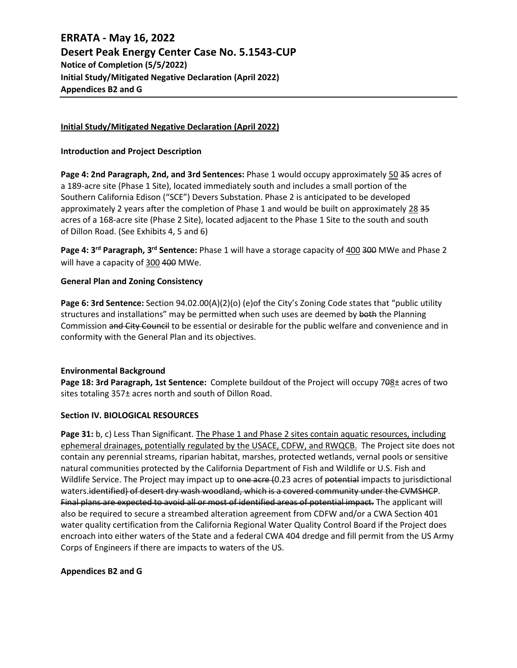## **ERRATA - May 16, 2022 Desert Peak Energy Center Case No. 5.1543-CUP Notice of Completion (5/5/2022) Initial Study/Mitigated Negative Declaration (April 2022) Appendices B2 and G**

## **Initial Study/Mitigated Negative Declaration (April 2022)**

## **Introduction and Project Description**

**Page 4: 2nd Paragraph, 2nd, and 3rd Sentences:** Phase 1 would occupy approximately 50 35 acres of a 189-acre site (Phase 1 Site), located immediately south and includes a small portion of the Southern California Edison ("SCE") Devers Substation. Phase 2 is anticipated to be developed approximately 2 years after the completion of Phase 1 and would be built on approximately 28 35 acres of a 168-acre site (Phase 2 Site), located adjacent to the Phase 1 Site to the south and south of Dillon Road. (See Exhibits 4, 5 and 6)

**Page 4: 3<sup>rd</sup> Paragraph, 3<sup>rd</sup> Sentence:** Phase 1 will have a storage capacity of  $400$  300 MWe and Phase 2 will have a capacity of 300 400 MWe.

## **General Plan and Zoning Consistency**

**Page 6: 3rd Sentence:** Section 94.02.00(A)(2)(o) (e)of the City's Zoning Code states that "public utility structures and installations" may be permitted when such uses are deemed by both the Planning Commission and City Council to be essential or desirable for the public welfare and convenience and in conformity with the General Plan and its objectives.

## **Environmental Background**

**Page 18: 3rd Paragraph, 1st Sentence:** Complete buildout of the Project will occupy 708± acres of two sites totaling 357± acres north and south of Dillon Road.

## **Section IV. BIOLOGICAL RESOURCES**

**Page 31:** b, c) Less Than Significant. The Phase 1 and Phase 2 sites contain aquatic resources, including ephemeral drainages, potentially regulated by the USACE, CDFW, and RWQCB. The Project site does not contain any perennial streams, riparian habitat, marshes, protected wetlands, vernal pools or sensitive natural communities protected by the California Department of Fish and Wildlife or U.S. Fish and Wildlife Service. The Project may impact up to one acre (0.23 acres of potential impacts to jurisdictional waters.identified) of desert dry wash woodland, which is a covered community under the CVMSHCP. Final plans are expected to avoid all or most of identified areas of potential impact. The applicant will also be required to secure a streambed alteration agreement from CDFW and/or a CWA Section 401 water quality certification from the California Regional Water Quality Control Board if the Project does encroach into either waters of the State and a federal CWA 404 dredge and fill permit from the US Army Corps of Engineers if there are impacts to waters of the US.

## **Appendices B2 and G**